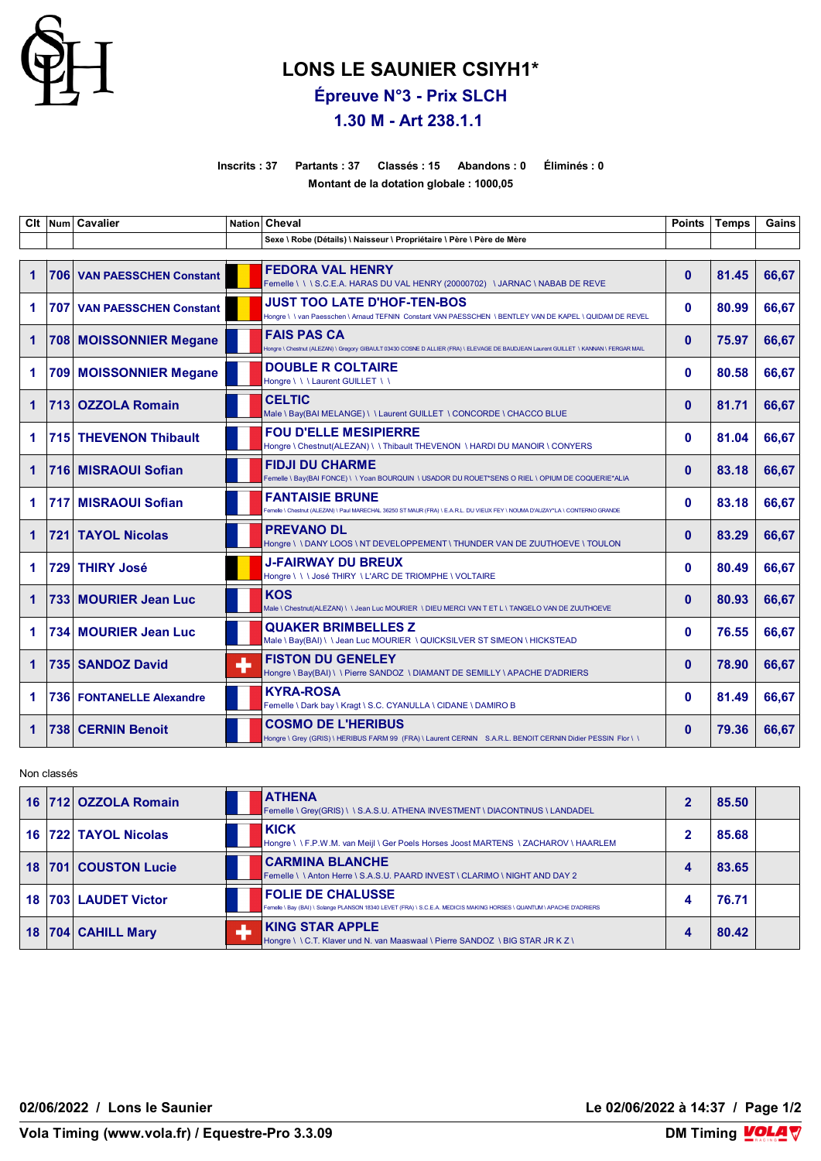

## **LONS LE SAUNIER CSIYH1\***

**Épreuve N°3 - Prix SLCH**

## **1.30 M - Art 238.1.1**

**Inscrits : 37 Partants : 37 Classés : 15 Abandons : 0 Éliminés : 0**

**Montant de la dotation globale : 1000,05**

| Clt         |     | Num Cavalier                      |   | Nation Cheval                                                                                                                                              | <b>Points</b> | <b>Temps</b> | Gains |
|-------------|-----|-----------------------------------|---|------------------------------------------------------------------------------------------------------------------------------------------------------------|---------------|--------------|-------|
|             |     |                                   |   | Sexe \ Robe (Détails) \ Naisseur \ Propriétaire \ Père \ Père de Mère                                                                                      |               |              |       |
| 1           |     | 706 VAN PAESSCHEN Constant        |   | <b>FEDORA VAL HENRY</b><br>Femelle \\\S.C.E.A. HARAS DU VAL HENRY (20000702) \JARNAC \NABAB DE REVE                                                        | $\mathbf{0}$  | 81.45        | 66,67 |
| 1           |     | <b>707 VAN PAESSCHEN Constant</b> |   | <b>JUST TOO LATE D'HOF-TEN-BOS</b><br>Hongre \\van Paesschen \Arnaud TEFNIN Constant VAN PAESSCHEN \BENTLEY VAN DE KAPEL \QUIDAM DE REVEL                  | $\mathbf{0}$  | 80.99        | 66.67 |
| 1           |     | 708 MOISSONNIER Megane            |   | <b>FAIS PAS CA</b><br>Hongre \ Chestnut (ALEZAN) \ Gregory GIBAULT 03430 COSNE D ALLIER (FRA) \ ELEVAGE DE BAUDJEAN Laurent GUILLET \ KANNAN \ FERGAR MAIL | $\mathbf{0}$  | 75.97        | 66,67 |
| 1           |     | 709 MOISSONNIER Megane            |   | <b>DOUBLE R COLTAIRE</b><br>Hongre \\\Laurent GUILLET \\                                                                                                   | $\mathbf{0}$  | 80.58        | 66,67 |
| $\mathbf 1$ | 713 | <b>OZZOLA Romain</b>              |   | <b>CELTIC</b><br>Male \ Bay(BAI MELANGE) \ \ Laurent GUILLET \ CONCORDE \ CHACCO BLUE                                                                      | $\mathbf{0}$  | 81.71        | 66,67 |
| 1           |     | 715 THEVENON Thibault             |   | <b>FOU D'ELLE MESIPIERRE</b><br>Hongre \ Chestnut(ALEZAN) \ \ Thibault THEVENON \ HARDI DU MANOIR \ CONYERS                                                | $\Omega$      | 81.04        | 66,67 |
| $\mathbf 1$ |     | 716 MISRAOUI Sofian               |   | <b>FIDJI DU CHARME</b><br>Femelle \ Bay(BAI FONCE) \ \ Yoan BOURQUIN \ USADOR DU ROUET*SENS O RIEL \ OPIUM DE COQUERIE*ALIA                                | $\Omega$      | 83.18        | 66,67 |
| 1.          |     | 717 MISRAOUI Sofian               |   | <b>FANTAISIE BRUNE</b><br>Femelle \ Chestnut (ALEZAN) \ Paul MARECHAL 36250 ST MAUR (FRA) \ E.A.R.L. DU VIEUX FEY \ NOUMA D'AUZAY*LA \ CONTERNO GRANDE     | $\Omega$      | 83.18        | 66,67 |
| 1           | 721 | <b>TAYOL Nicolas</b>              |   | <b>PREVANO DL</b><br>Hongre \ \ DANY LOOS \ NT DEVELOPPEMENT \ THUNDER VAN DE ZUUTHOEVE \ TOULON                                                           | $\mathbf{0}$  | 83.29        | 66,67 |
| 1           |     | 729 THIRY José                    |   | <b>J-FAIRWAY DU BREUX</b><br>Hongre \\\José THIRY \L'ARC DE TRIOMPHE \VOLTAIRE                                                                             | $\mathbf{0}$  | 80.49        | 66,67 |
| 1           |     | 733 MOURIER Jean Luc              |   | <b>KOS</b><br>Male \ Chestnut(ALEZAN) \ \ Jean Luc MOURIER \ DIEU MERCI VAN T ET L \ TANGELO VAN DE ZUUTHOEVE                                              | $\mathbf{0}$  | 80.93        | 66,67 |
| 1.          |     | 734 MOURIER Jean Luc              |   | <b>QUAKER BRIMBELLES Z</b><br>Male \ Bay(BAI) \ \ Jean Luc MOURIER \ QUICKSILVER ST SIMEON \ HICKSTEAD                                                     | $\mathbf{0}$  | 76.55        | 66,67 |
| 1           |     | 735 SANDOZ David                  | ۰ | <b>FISTON DU GENELEY</b><br>Hongre \ Bay(BAI) \ \ Pierre SANDOZ \ DIAMANT DE SEMILLY \ APACHE D'ADRIERS                                                    | $\mathbf{0}$  | 78.90        | 66,67 |
| 1           |     | <b>736 FONTANELLE Alexandre</b>   |   | <b>KYRA-ROSA</b><br>Femelle \ Dark bay \ Kragt \ S.C. CYANULLA \ CIDANE \ DAMIRO B                                                                         | $\mathbf{0}$  | 81.49        | 66,67 |
| 1           |     | 738 CERNIN Benoit                 |   | <b>COSMO DE L'HERIBUS</b><br>Hongre \ Grey (GRIS) \ HERIBUS FARM 99 (FRA) \ Laurent CERNIN S.A.R.L. BENOIT CERNIN Didier PESSIN Flor \ \                   | $\mathbf{0}$  | 79.36        | 66,67 |

Non classés

|    |     | 16 712 OZZOLA Romain | <b>ATHENA</b><br>Femelle \ Grey(GRIS) \ \ S.A.S.U. ATHENA INVESTMENT \ DIACONTINUS \ LANDADEL                                                     |   | 85.50 |  |
|----|-----|----------------------|---------------------------------------------------------------------------------------------------------------------------------------------------|---|-------|--|
| 16 |     | 722 TAYOL Nicolas    | <b>KICK</b><br>Hongre \ \F.P.W.M. van Meijl \ Ger Poels Horses Joost MARTENS \ ZACHAROV \ HAARLEM                                                 | ິ | 85.68 |  |
| 18 | 701 | <b>COUSTON Lucie</b> | <b>CARMINA BLANCHE</b><br>Femelle \\Anton Herre \ S.A.S.U. PAARD INVEST \ CLARIMO \ NIGHT AND DAY 2                                               |   | 83.65 |  |
| 18 |     | 703 LAUDET Victor    | <b>FOLIE DE CHALUSSE</b><br>Femelle \ Bay (BAI) \ Solange PLANSON 18340 LEVET (FRA) \ S.C.E.A. MEDICIS MAKING HORSES \ QUANTUM \ APACHE D'ADRIERS |   | 76.71 |  |
| 18 | 704 | <b>CAHILL Mary</b>   | <b>KING STAR APPLE</b><br>Hongre \ \ C.T. Klaver und N. van Maaswaal \ Pierre SANDOZ \ BIG STAR JR K Z \                                          |   | 80.42 |  |

**02/06/2022 / Lons le Saunier Le 02/06/2022 à 14:37 / Page 1/2**